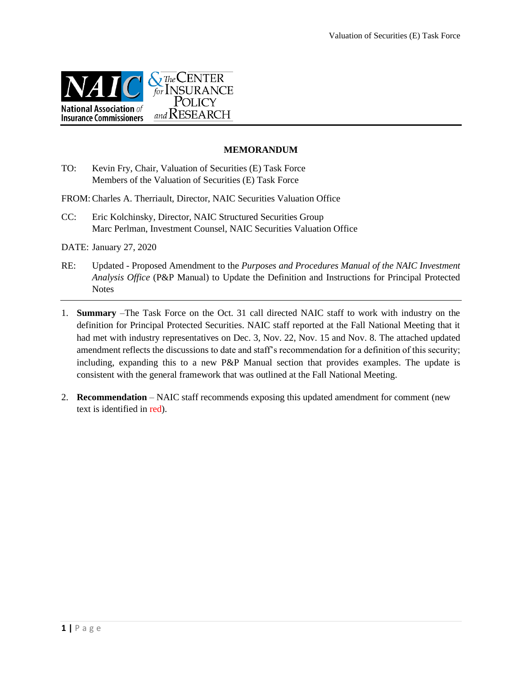

#### **MEMORANDUM**

TO: Kevin Fry, Chair, Valuation of Securities (E) Task Force Members of the Valuation of Securities (E) Task Force

FROM:Charles A. Therriault, Director, NAIC Securities Valuation Office

CC: Eric Kolchinsky, Director, NAIC Structured Securities Group Marc Perlman, Investment Counsel, NAIC Securities Valuation Office

DATE: January 27, 2020

- RE: Updated Proposed Amendment to the *Purposes and Procedures Manual of the NAIC Investment Analysis Office* (P&P Manual) to Update the Definition and Instructions for Principal Protected **Notes**
- 1. **Summary** –The Task Force on the Oct. 31 call directed NAIC staff to work with industry on the definition for Principal Protected Securities. NAIC staff reported at the Fall National Meeting that it had met with industry representatives on Dec. 3, Nov. 22, Nov. 15 and Nov. 8. The attached updated amendment reflects the discussions to date and staff's recommendation for a definition of this security; including, expanding this to a new P&P Manual section that provides examples. The update is consistent with the general framework that was outlined at the Fall National Meeting.
- 2. **Recommendation** NAIC staff recommends exposing this updated amendment for comment (new text is identified in red).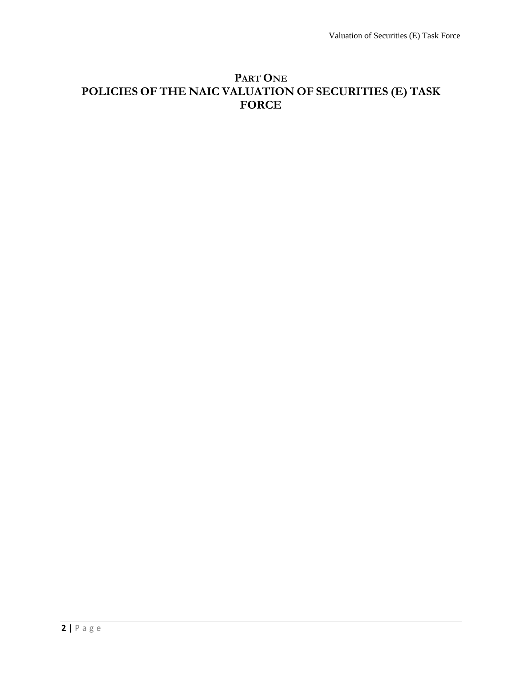# **PART ONE POLICIES OF THE NAIC VALUATION OF SECURITIES (E) TASK FORCE**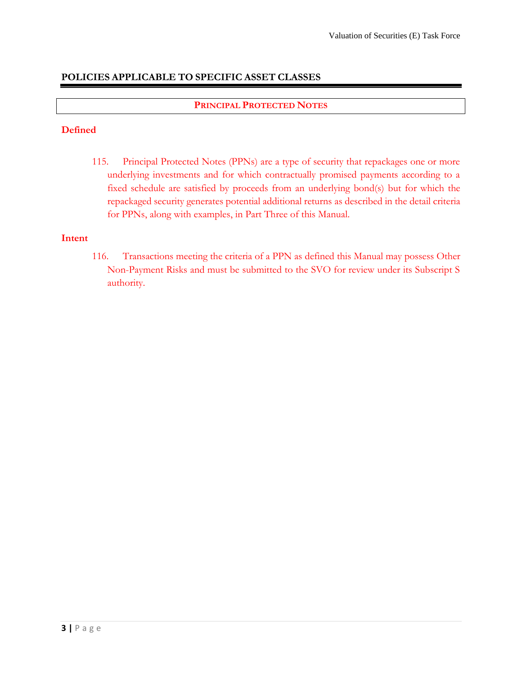# **POLICIES APPLICABLE TO SPECIFIC ASSET CLASSES**

# **PRINCIPAL PROTECTED NOTES**

# **Defined**

115. Principal Protected Notes (PPNs) are a type of security that repackages one or more underlying investments and for which contractually promised payments according to a fixed schedule are satisfied by proceeds from an underlying bond(s) but for which the repackaged security generates potential additional returns as described in the detail criteria for PPNs, along with examples, in Part Three of this Manual.

# **Intent**

116. Transactions meeting the criteria of a PPN as defined this Manual may possess Other Non-Payment Risks and must be submitted to the SVO for review under its Subscript S authority.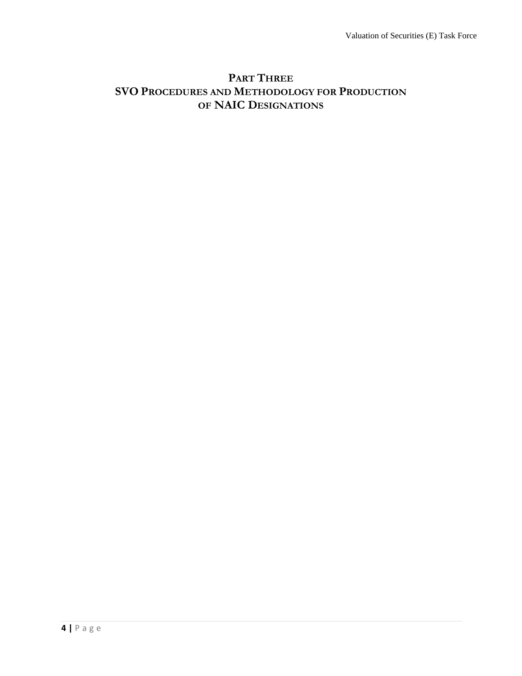# **PART THREE SVO PROCEDURES AND METHODOLOGY FOR PRODUCTION OF NAIC DESIGNATIONS**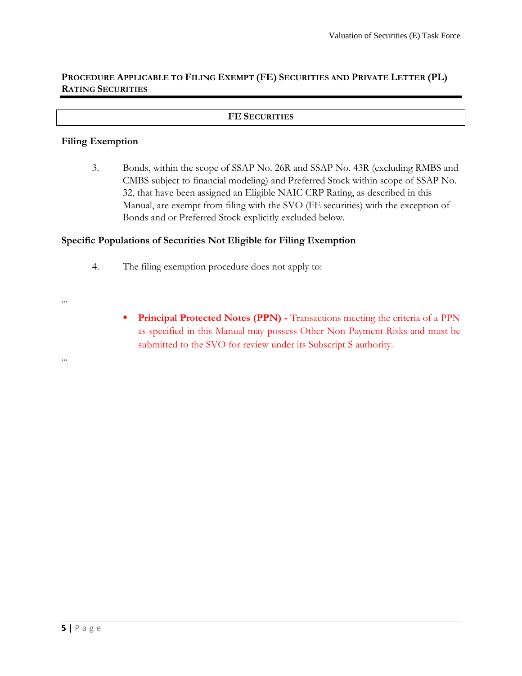# **PROCEDURE APPLICABLE TO FILING EXEMPT (FE) SECURITIES AND PRIVATE LETTER (PL) RATING SECURITIES**

#### **FE SECURITIES**

#### **Filing Exemption**

3. Bonds, within the scope of SSAP No. 26R and SSAP No. 43R (excluding RMBS and CMBS subject to financial modeling) and Preferred Stock within scope of SSAP No. 32, that have been assigned an Eligible NAIC CRP Rating, as described in this Manual, are exempt from filing with the SVO (FE securities) with the exception of Bonds and or Preferred Stock explicitly excluded below.

## **Specific Populations of Securities Not Eligible for Filing Exemption**

- 4. The filing exemption procedure does not apply to:
- …

…

**Principal Protected Notes (PPN)** - Transactions meeting the criteria of a PPN as specified in this Manual may possess Other Non-Payment Risks and must be submitted to the SVO for review under its Subscript S authority.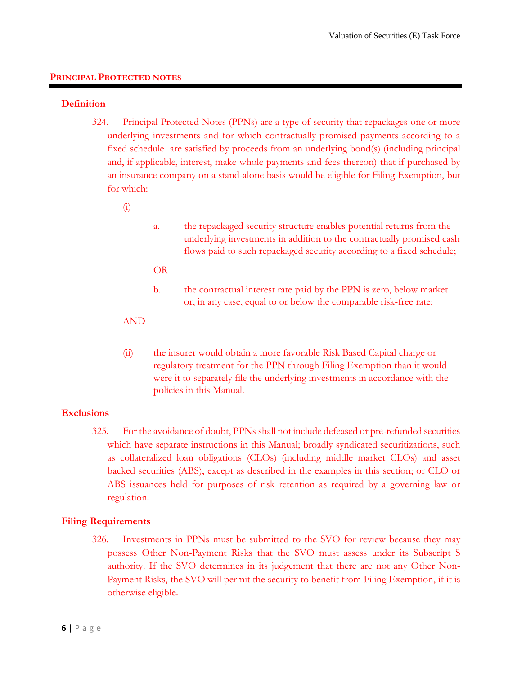### **PRINCIPAL PROTECTED NOTES**

#### **Definition**

324. Principal Protected Notes (PPNs) are a type of security that repackages one or more underlying investments and for which contractually promised payments according to a fixed schedule are satisfied by proceeds from an underlying bond(s) (including principal and, if applicable, interest, make whole payments and fees thereon) that if purchased by an insurance company on a stand-alone basis would be eligible for Filing Exemption, but for which:

### (i)

a. the repackaged security structure enables potential returns from the underlying investments in addition to the contractually promised cash flows paid to such repackaged security according to a fixed schedule;

#### OR

b. the contractual interest rate paid by the PPN is zero, below market or, in any case, equal to or below the comparable risk-free rate;

### AND

(ii) the insurer would obtain a more favorable Risk Based Capital charge or regulatory treatment for the PPN through Filing Exemption than it would were it to separately file the underlying investments in accordance with the policies in this Manual.

## **Exclusions**

325. For the avoidance of doubt, PPNs shall not include defeased or pre-refunded securities which have separate instructions in this Manual; broadly syndicated securitizations, such as collateralized loan obligations (CLOs) (including middle market CLOs) and asset backed securities (ABS), except as described in the examples in this section; or CLO or ABS issuances held for purposes of risk retention as required by a governing law or regulation.

## **Filing Requirements**

326. Investments in PPNs must be submitted to the SVO for review because they may possess Other Non-Payment Risks that the SVO must assess under its Subscript S authority. If the SVO determines in its judgement that there are not any Other Non-Payment Risks, the SVO will permit the security to benefit from Filing Exemption, if it is otherwise eligible.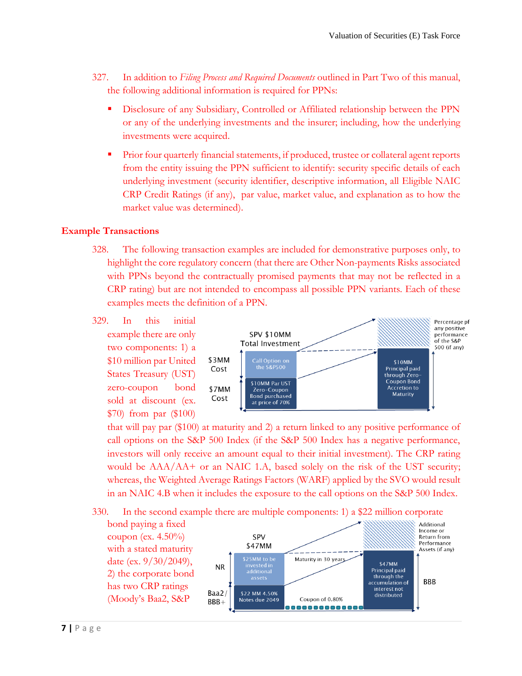- 327. In addition to *Filing Process and Required Documents* outlined in Part Two of this manual, the following additional information is required for PPNs:
	- **EXECUTE:** Disclosure of any Subsidiary, Controlled or Affiliated relationship between the PPN or any of the underlying investments and the insurer; including, how the underlying investments were acquired.
	- **Prior four quarterly financial statements, if produced, trustee or collateral agent reports** from the entity issuing the PPN sufficient to identify: security specific details of each underlying investment (security identifier, descriptive information, all Eligible NAIC CRP Credit Ratings (if any), par value, market value, and explanation as to how the market value was determined).

# **Example Transactions**

- 328. The following transaction examples are included for demonstrative purposes only, to highlight the core regulatory concern (that there are Other Non-payments Risks associated with PPNs beyond the contractually promised payments that may not be reflected in a CRP rating) but are not intended to encompass all possible PPN variants. Each of these examples meets the definition of a PPN.
- 329. In this initial Percentage pf any positive example there are only SPV \$10MM performance of the S&P **Total Investment** 500 (if any) two components: 1) a \$10 million par United \$3MM Call Option on<br>the S&P500 \$10MM Principal paid Cost States Treasury (UST) through Zero-Coupon Bond \$10MM Par UST zero-coupon bond **Accretion to** \$7MM Zero-Coupon Maturity **Bond purchased** Cost sold at discount (ex. at price of 70% \$70) from par (\$100)

that will pay par (\$100) at maturity and 2) a return linked to any positive performance of call options on the S&P 500 Index (if the S&P 500 Index has a negative performance, investors will only receive an amount equal to their initial investment). The CRP rating would be  $AAA/AA$  or an NAIC 1.A, based solely on the risk of the UST security; whereas, the Weighted Average Ratings Factors (WARF) applied by the SVO would result in an NAIC 4.B when it includes the exposure to the call options on the S&P 500 Index.

330. In the second example there are multiple components: 1) a \$22 million corporate

bond paying a fixed coupon (ex.  $4.50\%$ ) with a stated maturity date (ex. 9/30/2049), 2) the corporate bond has two CRP ratings (Moody's Baa2, S&P